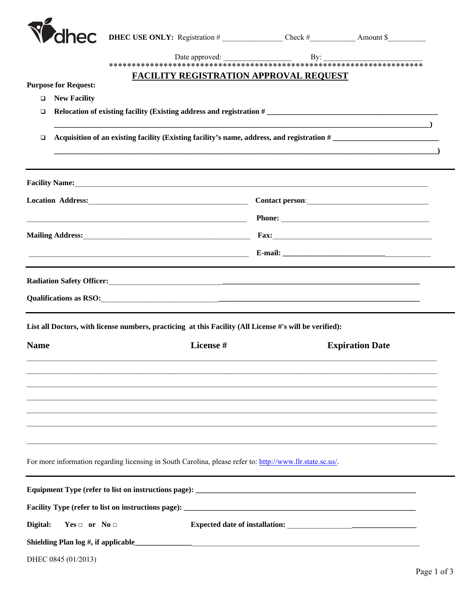| <b>hec</b><br><b>FACILITY REGISTRATION APPROVAL REQUEST</b><br><b>Purpose for Request:</b><br><b>New Facility</b><br>$\Box$<br>Relocation of existing facility (Existing address and registration #<br>□<br>Acquisition of an existing facility (Existing facility's name, address, and registration #<br>$\Box$<br>Facility Name: 1988 and 2008 and 2008 and 2008 and 2008 and 2008 and 2008 and 2008 and 2008 and 2008 and 2008 and 2008 and 2008 and 2008 and 2008 and 2008 and 2008 and 2008 and 2008 and 2008 and 2008 and 2008 and 2008 and<br>Location Address: 1988 and 2008 and 2008 and 2008 and 2008 and 2008 and 2008 and 2008 and 2008 and 2008 and 20<br>Qualifications as RSO: <u>Contractors</u> Contractors and RSO:<br>List all Doctors, with license numbers, practicing at this Facility (All License #'s will be verified):<br>License #<br><b>Name</b><br><b>Expiration Date</b> |  |
|--------------------------------------------------------------------------------------------------------------------------------------------------------------------------------------------------------------------------------------------------------------------------------------------------------------------------------------------------------------------------------------------------------------------------------------------------------------------------------------------------------------------------------------------------------------------------------------------------------------------------------------------------------------------------------------------------------------------------------------------------------------------------------------------------------------------------------------------------------------------------------------------------------|--|
|                                                                                                                                                                                                                                                                                                                                                                                                                                                                                                                                                                                                                                                                                                                                                                                                                                                                                                        |  |
|                                                                                                                                                                                                                                                                                                                                                                                                                                                                                                                                                                                                                                                                                                                                                                                                                                                                                                        |  |
|                                                                                                                                                                                                                                                                                                                                                                                                                                                                                                                                                                                                                                                                                                                                                                                                                                                                                                        |  |
|                                                                                                                                                                                                                                                                                                                                                                                                                                                                                                                                                                                                                                                                                                                                                                                                                                                                                                        |  |
|                                                                                                                                                                                                                                                                                                                                                                                                                                                                                                                                                                                                                                                                                                                                                                                                                                                                                                        |  |
|                                                                                                                                                                                                                                                                                                                                                                                                                                                                                                                                                                                                                                                                                                                                                                                                                                                                                                        |  |
|                                                                                                                                                                                                                                                                                                                                                                                                                                                                                                                                                                                                                                                                                                                                                                                                                                                                                                        |  |
|                                                                                                                                                                                                                                                                                                                                                                                                                                                                                                                                                                                                                                                                                                                                                                                                                                                                                                        |  |
|                                                                                                                                                                                                                                                                                                                                                                                                                                                                                                                                                                                                                                                                                                                                                                                                                                                                                                        |  |
|                                                                                                                                                                                                                                                                                                                                                                                                                                                                                                                                                                                                                                                                                                                                                                                                                                                                                                        |  |
|                                                                                                                                                                                                                                                                                                                                                                                                                                                                                                                                                                                                                                                                                                                                                                                                                                                                                                        |  |
|                                                                                                                                                                                                                                                                                                                                                                                                                                                                                                                                                                                                                                                                                                                                                                                                                                                                                                        |  |
|                                                                                                                                                                                                                                                                                                                                                                                                                                                                                                                                                                                                                                                                                                                                                                                                                                                                                                        |  |
|                                                                                                                                                                                                                                                                                                                                                                                                                                                                                                                                                                                                                                                                                                                                                                                                                                                                                                        |  |
|                                                                                                                                                                                                                                                                                                                                                                                                                                                                                                                                                                                                                                                                                                                                                                                                                                                                                                        |  |
|                                                                                                                                                                                                                                                                                                                                                                                                                                                                                                                                                                                                                                                                                                                                                                                                                                                                                                        |  |
|                                                                                                                                                                                                                                                                                                                                                                                                                                                                                                                                                                                                                                                                                                                                                                                                                                                                                                        |  |
|                                                                                                                                                                                                                                                                                                                                                                                                                                                                                                                                                                                                                                                                                                                                                                                                                                                                                                        |  |
|                                                                                                                                                                                                                                                                                                                                                                                                                                                                                                                                                                                                                                                                                                                                                                                                                                                                                                        |  |
|                                                                                                                                                                                                                                                                                                                                                                                                                                                                                                                                                                                                                                                                                                                                                                                                                                                                                                        |  |
|                                                                                                                                                                                                                                                                                                                                                                                                                                                                                                                                                                                                                                                                                                                                                                                                                                                                                                        |  |
|                                                                                                                                                                                                                                                                                                                                                                                                                                                                                                                                                                                                                                                                                                                                                                                                                                                                                                        |  |
|                                                                                                                                                                                                                                                                                                                                                                                                                                                                                                                                                                                                                                                                                                                                                                                                                                                                                                        |  |
| For more information regarding licensing in South Carolina, please refer to: http://www.llr.state.sc.us/.                                                                                                                                                                                                                                                                                                                                                                                                                                                                                                                                                                                                                                                                                                                                                                                              |  |
|                                                                                                                                                                                                                                                                                                                                                                                                                                                                                                                                                                                                                                                                                                                                                                                                                                                                                                        |  |
|                                                                                                                                                                                                                                                                                                                                                                                                                                                                                                                                                                                                                                                                                                                                                                                                                                                                                                        |  |
| Digital:<br>$Yes \Box$ or $No \Box$                                                                                                                                                                                                                                                                                                                                                                                                                                                                                                                                                                                                                                                                                                                                                                                                                                                                    |  |
|                                                                                                                                                                                                                                                                                                                                                                                                                                                                                                                                                                                                                                                                                                                                                                                                                                                                                                        |  |
| DHEC 0845 (01/2013)                                                                                                                                                                                                                                                                                                                                                                                                                                                                                                                                                                                                                                                                                                                                                                                                                                                                                    |  |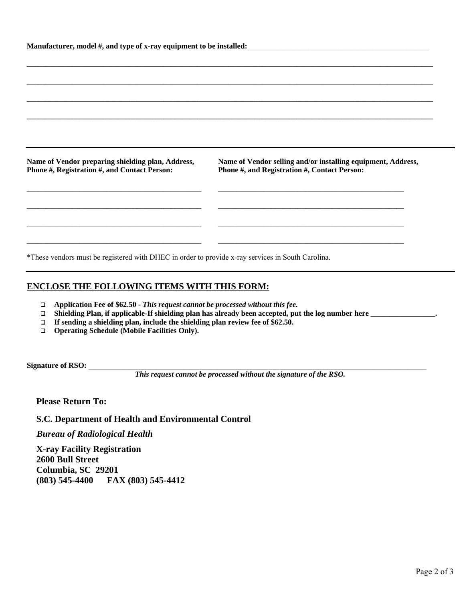|                                                                                                   | Manufacturer, model #, and type of x-ray equipment to be installed:                                                  |
|---------------------------------------------------------------------------------------------------|----------------------------------------------------------------------------------------------------------------------|
|                                                                                                   |                                                                                                                      |
|                                                                                                   |                                                                                                                      |
|                                                                                                   |                                                                                                                      |
|                                                                                                   |                                                                                                                      |
|                                                                                                   |                                                                                                                      |
|                                                                                                   |                                                                                                                      |
|                                                                                                   | Name of Vendor selling and/or installing equipment, Address,<br>Phone #, and Registration #, Contact Person:         |
|                                                                                                   | the control of the control of the control of the control of the control of the control of                            |
|                                                                                                   |                                                                                                                      |
|                                                                                                   |                                                                                                                      |
| Name of Vendor preparing shielding plan, Address,<br>Phone #, Registration #, and Contact Person: | <u> 1989 - Johann John Stein, markin fan it ferstjer fan de ferstjer fan it ferstjer fan de ferstjer fan it fers</u> |

# **ENCLOSE THE FOLLOWING ITEMS WITH THIS FORM:**

- **Application Fee of \$62.50** *This request cannot be processed without this fee.*
- **Shielding Plan, if applicable-If shielding plan has already been accepted, put the log number here \_\_\_\_\_\_\_\_\_\_\_\_\_\_\_\_\_.**
- **If sending a shielding plan, include the shielding plan review fee of \$62.50.**
- **Operating Schedule (Mobile Facilities Only).**

Signature of RSO:

*This request cannot be processed without the signature of the RSO.* 

**Please Return To:** 

**S.C. Department of Health and Environmental Control** 

*Bureau of Radiological Health* 

**X-ray Facility Registration 2600 Bull Street Columbia, SC 29201 (803) 545-4400 FAX (803) 545-4412**